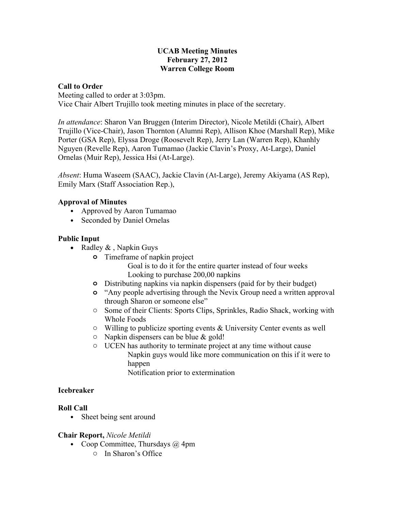#### **UCAB Meeting Minutes February 27, 2012 Warren College Room**

#### **Call to Order**

Meeting called to order at 3:03pm. Vice Chair Albert Trujillo took meeting minutes in place of the secretary.

*In attendance*: Sharon Van Bruggen (Interim Director), Nicole Metildi (Chair), Albert Trujillo (Vice-Chair), Jason Thornton (Alumni Rep), Allison Khoe (Marshall Rep), Mike Porter (GSA Rep), Elyssa Droge (Roosevelt Rep), Jerry Lan (Warren Rep), Khanhly Nguyen (Revelle Rep), Aaron Tumamao (Jackie Clavin's Proxy, At-Large), Daniel Ornelas (Muir Rep), Jessica Hsi (At-Large).

*Absent*: Huma Waseem (SAAC), Jackie Clavin (At-Large), Jeremy Akiyama (AS Rep), Emily Marx (Staff Association Rep.),

## **Approval of Minutes**

- Approved by Aaron Tumamao
- Seconded by Daniel Ornelas

## **Public Input**

- Radley  $\&$ , Napkin Guys
	- **o** Timeframe of napkin project
		- Goal is to do it for the entire quarter instead of four weeks Looking to purchase 200,00 napkins
	- **o** Distributing napkins via napkin dispensers (paid for by their budget)
	- **o** "Any people advertising through the Nevix Group need a written approval through Sharon or someone else"
	- o Some of their Clients: Sports Clips, Sprinkles, Radio Shack, working with Whole Foods
	- o Willing to publicize sporting events & University Center events as well
	- o Napkin dispensers can be blue & gold!
	- o UCEN has authority to terminate project at any time without cause Napkin guys would like more communication on this if it were to happen Notification prior to extermination

## **Icebreaker**

## **Roll Call**

• Sheet being sent around

## **Chair Report,** *Nicole Metildi*

- Coop Committee, Thursdays  $\omega$  4pm
	- o In Sharon's Office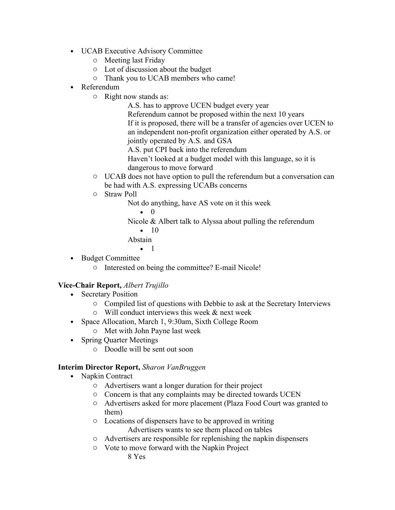- UCAB Executive Advisory Committee
	- o Meeting last Friday
	- o Lot of discussion about the budget
	- o Thank you to UCAB members who came!
- Referendum
	- o Right now stands as:
		- A.S. has to approve UCEN budget every year

Referendum cannot be proposed within the next 10 years If it is proposed, there will be a transfer of agencies over UCEN to an independent non-profit organization either operated by A.S. or jointly operated by A.S. and GSA

A.S. put CPI back into the referendum

Haven't looked at a budget model with this language, so it is dangerous to move forward

- o UCAB does not have option to pull the referendum but a conversation can be had with A.S. expressing UCABs concerns
- o Straw Poll

Not do anything, have AS vote on it this week

• 0

Nicole & Albert talk to Alyssa about pulling the referendum

 $\bullet$  10

Abstain

- 1
- Budget Committee
	- o Interested on being the committee? E-mail Nicole!

## **Vice-Chair Report,** *Albert Trujillo*

- Secretary Position
	- o Compiled list of questions with Debbie to ask at the Secretary Interviews
	- $\circ$  Will conduct interviews this week & next week
- Space Allocation, March 1, 9:30am, Sixth College Room
	- o Met with John Payne last week
- Spring Quarter Meetings
	- o Doodle will be sent out soon

## **Interim Director Report,** *Sharon VanBruggen*

- Napkin Contract
	- o Advertisers want a longer duration for their project
	- o Concern is that any complaints may be directed towards UCEN
	- o Advertisers asked for more placement (Plaza Food Court was granted to them)
	- o Locations of dispensers have to be approved in writing Advertisers wants to see them placed on tables
	- o Advertisers are responsible for replenishing the napkin dispensers
	- o Vote to move forward with the Napkin Project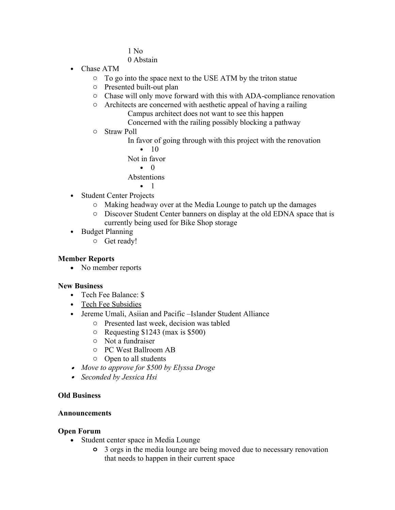1 No 0 Abstain

- Chase ATM
	- o To go into the space next to the USE ATM by the triton statue
	- o Presented built-out plan
	- o Chase will only move forward with this with ADA-compliance renovation
	- o Architects are concerned with aesthetic appeal of having a railing Campus architect does not want to see this happen Concerned with the railing possibly blocking a pathway
	- o Straw Poll
		- In favor of going through with this project with the renovation

 $\bullet$  10 Not in favor • 0

Abstentions

- 1
- Student Center Projects
	- o Making headway over at the Media Lounge to patch up the damages
	- o Discover Student Center banners on display at the old EDNA space that is currently being used for Bike Shop storage
- Budget Planning
	- o Get ready!

#### **Member Reports**

• No member reports

#### **New Business**

- Tech Fee Balance: \$
- Tech Fee Subsidies
- Jereme Umali, Asiian and Pacific –Islander Student Alliance
	- o Presented last week, decision was tabled
	- o Requesting \$1243 (max is \$500)
	- o Not a fundraiser
	- o PC West Ballroom AB
	- o Open to all students
- *Move to approve for \$500 by Elyssa Droge*
- *Seconded by Jessica Hsi*

#### **Old Business**

#### **Announcements**

#### **Open Forum**

- Student center space in Media Lounge
	- **o** 3 orgs in the media lounge are being moved due to necessary renovation that needs to happen in their current space